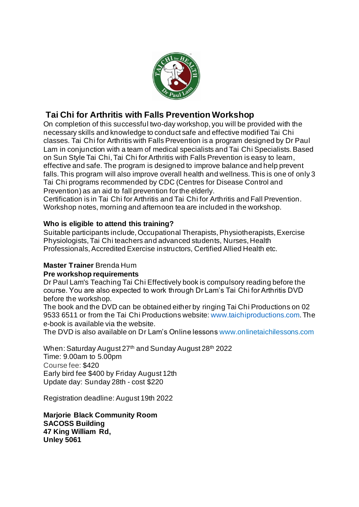

## **Tai Chi for Arthritis with Falls Prevention Workshop**

On completion of this successful two-day workshop, you will be provided with the necessary skills and knowledge to conduct safe and effective modified Tai Chi classes. Tai Chi for Arthritis with Falls Prevention is a program designed by Dr Paul Lam in conjunction with a team of medical specialists and Tai Chi Specialists. Based on Sun Style Tai Chi, Tai Chi for Arthritis with Falls Prevention is easy to learn, effective and safe. The program is designed to improve balance and help prevent falls. This program will also improve overall health and wellness. This is one of only 3 Tai Chi programs recommended by CDC (Centres for Disease Control and Prevention) as an aid to fall prevention for the elderly.

Certification is in Tai Chi for Arthritis and Tai Chi for Arthritis and Fall Prevention. Workshop notes, morning and afternoon tea are included in the workshop.

#### **Who is eligible to attend this training?**

Suitable participants include, Occupational Therapists, Physiotherapists, Exercise Physiologists, Tai Chi teachers and advanced students, Nurses, Health Professionals, Accredited Exercise instructors, Certified Allied Health etc.

### **Master Trainer** Brenda Hum

#### **Pre workshop requirements**

Dr Paul Lam's Teaching Tai Chi Effectively book is compulsory reading before the course. You are also expected to work through Dr Lam's Tai Chi for Arthritis DVD before the workshop.

The book and the DVD can be obtained either by ringing Tai Chi Productions on 02 9533 6511 or from the Tai Chi Productions website: www.taichiproductions.com. The e-book is available via the website.

The DVD is also available on Dr Lam's Online lessons www.onlinetaichilessons.com

When: Saturday August 27<sup>th</sup> and Sunday August 28<sup>th</sup> 2022 Time: 9.00am to 5.00pm Course fee: \$420 Early bird fee \$400 by Friday August 12th Update day: Sunday 28th - cost \$220

Registration deadline: August 19th 2022

**Marjorie Black Community Room SACOSS Building 47 King William Rd, Unley 5061**